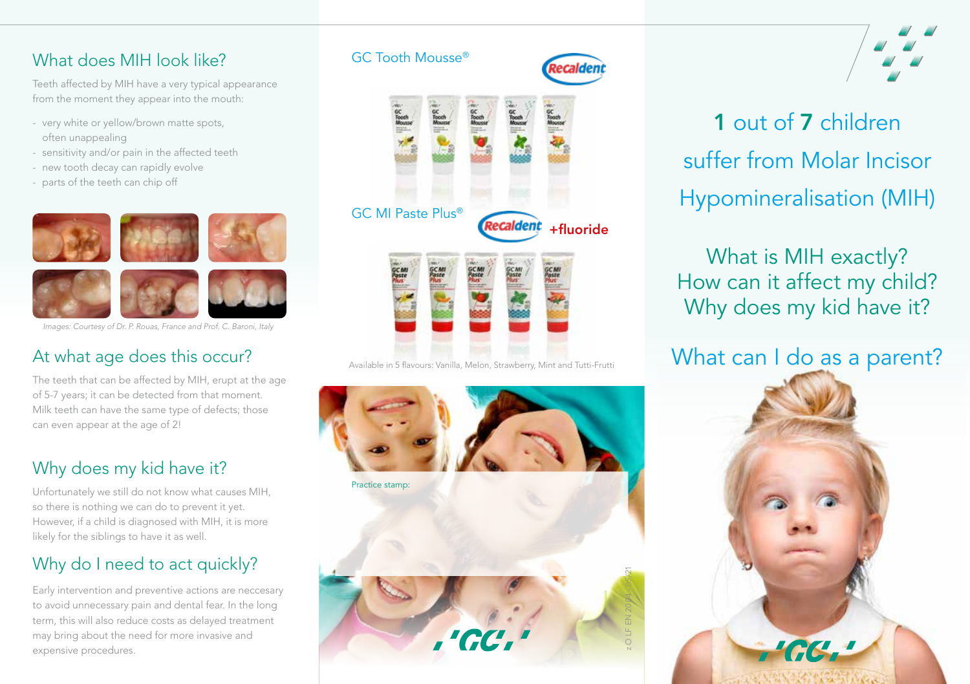## What does MIH look like?

Teeth affected by MIH have a very typical appearance from the moment they appear into the mouth:

- very white or yellow/brown matte spots, often unappealing
- sensitivity and/or pain in the affected teeth
- new tooth decay can rapidly evolve
- parts of the teeth can chip off



*Images: Courtesy of Dr. P. Rouas, France and Prof. C. Baroni, Italy*

## At what age does this occur?

The teeth that can be affected by MIH, erupt at the age of 5-7 years; it can be detected from that moment. Milk teeth can have the same type of defects; those can even appear at the age of 2!

## Why does my kid have it?

Unfortunately we still do not know what causes MIH, so there is nothing we can do to prevent it yet. However, if a child is diagnosed with MIH, it is more likely for the siblings to have it as well.

## Why do I need to act quickly?

Early intervention and preventive actions are neccesary to avoid unnecessary pain and dental fear. In the long term, this will also reduce costs as delayed treatment may bring about the need for more invasive and expensive procedures.

# GC Tooth Mousse® GC MI Paste Plus® **Recaldent** +fluoride

Available in 5 flavours: Vanilla, Melon, Strawberry, Mint and Tutti-Frutti





## 1 out of 7 children suffer from Molar Incisor Hypomineralisation (MIH)

## What is MIH exactly? How can it affect my child? Why does my kid have it?

## What can I do as a parent?